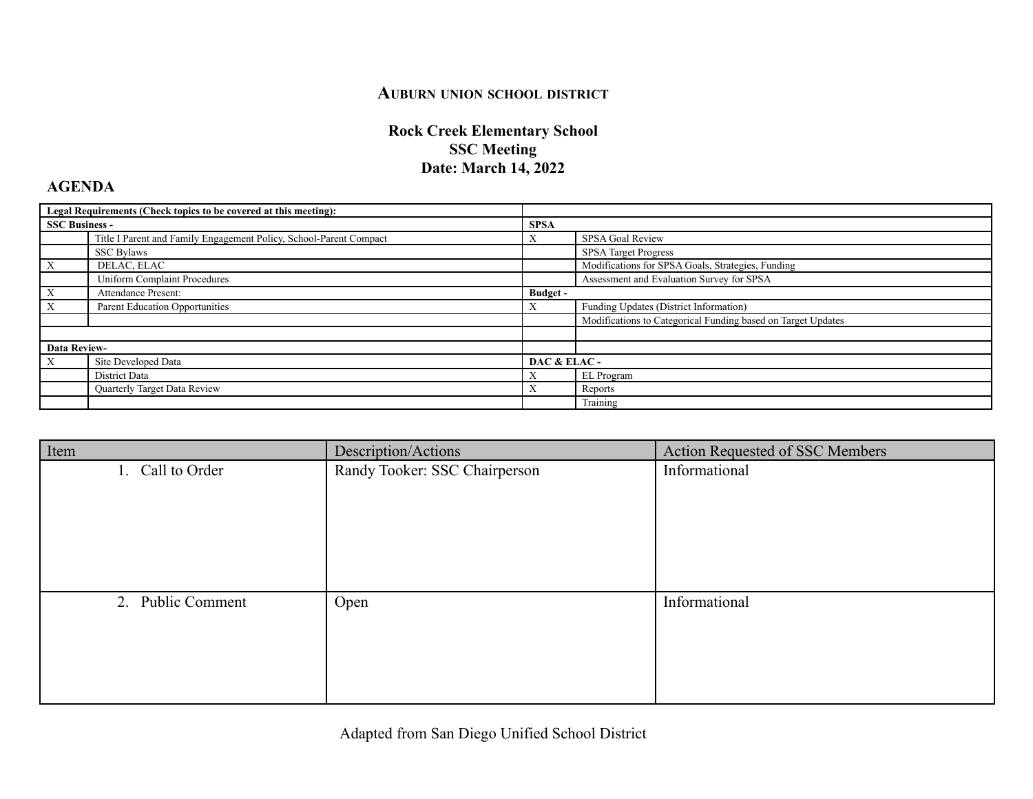## **AUBURN UNION SCHOOL DISTRICT**

## **Rock Creek Elementary School SSC Meeting Date: March 14, 2022**

## **AGENDA**

| Legal Requirements (Check topics to be covered at this meeting): |                                                                    |                 |                                                              |
|------------------------------------------------------------------|--------------------------------------------------------------------|-----------------|--------------------------------------------------------------|
| <b>SSC Business -</b>                                            |                                                                    | <b>SPSA</b>     |                                                              |
|                                                                  | Title I Parent and Family Engagement Policy, School-Parent Compact | $\Lambda$       | SPSA Goal Review                                             |
|                                                                  | <b>SSC Bylaws</b>                                                  |                 | <b>SPSA Target Progress</b>                                  |
| X                                                                | DELAC, ELAC                                                        |                 | Modifications for SPSA Goals, Strategies, Funding            |
|                                                                  | <b>Uniform Complaint Procedures</b>                                |                 | Assessment and Evaluation Survey for SPSA                    |
| X                                                                | Attendance Present:                                                | <b>Budget</b> - |                                                              |
| X                                                                | Parent Education Opportunities                                     |                 | Funding Updates (District Information)                       |
|                                                                  |                                                                    |                 | Modifications to Categorical Funding based on Target Updates |
|                                                                  |                                                                    |                 |                                                              |
| <b>Data Review-</b>                                              |                                                                    |                 |                                                              |
| X                                                                | Site Developed Data                                                | DAC & ELAC-     |                                                              |
|                                                                  | District Data                                                      |                 | EL Program                                                   |
|                                                                  | Quarterly Target Data Review                                       |                 | Reports                                                      |
|                                                                  |                                                                    |                 | Training                                                     |

| Description/Actions           | Action Requested of SSC Members |
|-------------------------------|---------------------------------|
| Randy Tooker: SSC Chairperson | Informational                   |
|                               |                                 |
|                               |                                 |
|                               |                                 |
|                               |                                 |
|                               |                                 |
| Open                          | Informational                   |
|                               |                                 |
|                               |                                 |
|                               |                                 |
|                               |                                 |
|                               |                                 |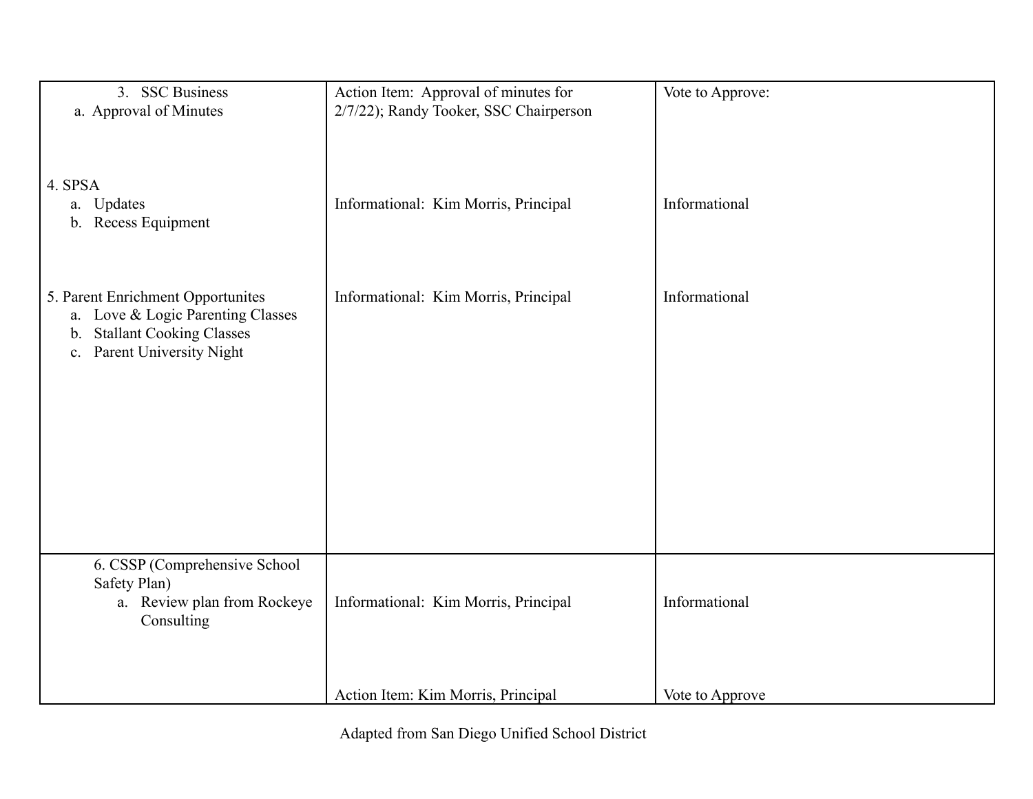| 3. SSC Business<br>a. Approval of Minutes                                                                                                                 | Action Item: Approval of minutes for<br>2/7/22); Randy Tooker, SSC Chairperson | Vote to Approve: |
|-----------------------------------------------------------------------------------------------------------------------------------------------------------|--------------------------------------------------------------------------------|------------------|
| 4. SPSA<br>a. Updates<br>b. Recess Equipment                                                                                                              | Informational: Kim Morris, Principal                                           | Informational    |
| 5. Parent Enrichment Opportunites<br>a. Love & Logic Parenting Classes<br><b>Stallant Cooking Classes</b><br>$\mathbf{b}$ .<br>c. Parent University Night | Informational: Kim Morris, Principal                                           | Informational    |
| 6. CSSP (Comprehensive School<br>Safety Plan)<br>a. Review plan from Rockeye<br>Consulting                                                                | Informational: Kim Morris, Principal                                           | Informational    |
|                                                                                                                                                           | Action Item: Kim Morris, Principal                                             | Vote to Approve  |

Adapted from San Diego Unified School District